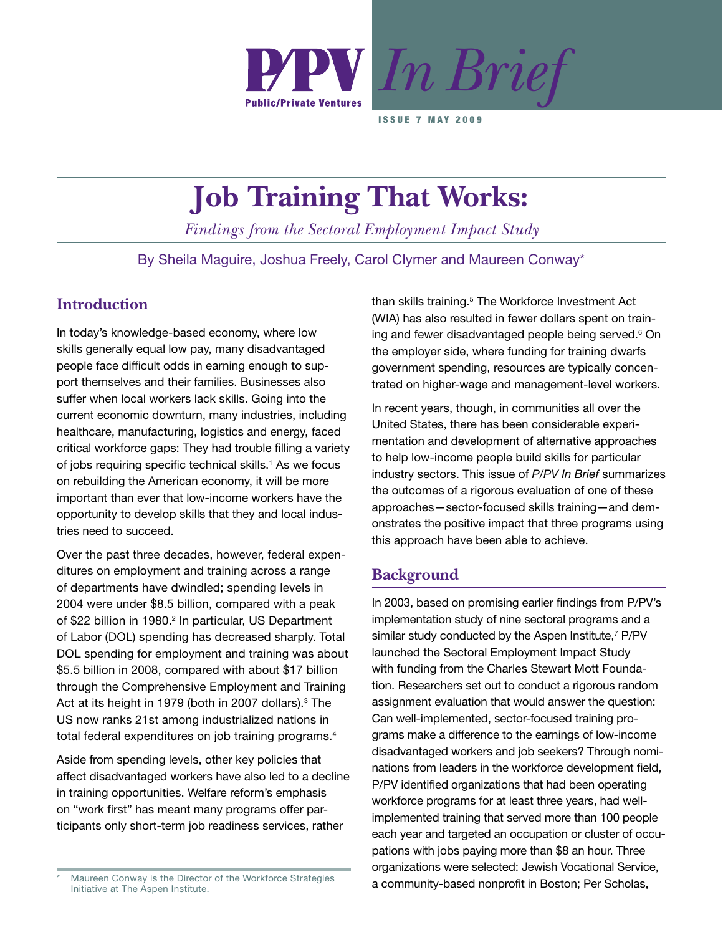

**ISSUE 7 MAY 2009** 

# **Job Training That Works:**

*Findings from the Sectoral Employment Impact Study*

By Sheila Maguire, Joshua Freely, Carol Clymer and Maureen Conway\*

# **Introduction**

In today's knowledge-based economy, where low skills generally equal low pay, many disadvantaged people face difficult odds in earning enough to support themselves and their families. Businesses also suffer when local workers lack skills. Going into the current economic downturn, many industries, including healthcare, manufacturing, logistics and energy, faced critical workforce gaps: They had trouble filling a variety of jobs requiring specific technical skills.<sup>1</sup> As we focus on rebuilding the American economy, it will be more important than ever that low-income workers have the opportunity to develop skills that they and local industries need to succeed.

Over the past three decades, however, federal expenditures on employment and training across a range of departments have dwindled; spending levels in 2004 were under \$8.5 billion, compared with a peak of \$22 billion in 1980.<sup>2</sup> In particular, US Department of Labor (DOL) spending has decreased sharply. Total DOL spending for employment and training was about \$5.5 billion in 2008, compared with about \$17 billion through the Comprehensive Employment and Training Act at its height in 1979 (both in 2007 dollars).<sup>3</sup> The US now ranks 21st among industrialized nations in total federal expenditures on job training programs.<sup>4</sup>

Aside from spending levels, other key policies that affect disadvantaged workers have also led to a decline in training opportunities. Welfare reform's emphasis on "work first" has meant many programs offer participants only short-term job readiness services, rather

than skills training.<sup>5</sup> The Workforce Investment Act (WIA) has also resulted in fewer dollars spent on training and fewer disadvantaged people being served.<sup>6</sup> On the employer side, where funding for training dwarfs government spending, resources are typically concentrated on higher-wage and management-level workers.

In recent years, though, in communities all over the United States, there has been considerable experimentation and development of alternative approaches to help low-income people build skills for particular industry sectors. This issue of *P/PV In Brief* summarizes the outcomes of a rigorous evaluation of one of these approaches—sector-focused skills training—and demonstrates the positive impact that three programs using this approach have been able to achieve.

# **Background**

In 2003, based on promising earlier findings from P/PV's implementation study of nine sectoral programs and a similar study conducted by the Aspen Institute,<sup>7</sup> P/PV launched the Sectoral Employment Impact Study with funding from the Charles Stewart Mott Foundation. Researchers set out to conduct a rigorous random assignment evaluation that would answer the question: Can well-implemented, sector-focused training programs make a difference to the earnings of low-income disadvantaged workers and job seekers? Through nominations from leaders in the workforce development field, P/PV identified organizations that had been operating workforce programs for at least three years, had wellimplemented training that served more than 100 people each year and targeted an occupation or cluster of occupations with jobs paying more than \$8 an hour. Three organizations were selected: Jewish Vocational Service, Maureen Conway is the Director of the Workforce Strategies<br>
a community-based nonprofit in Boston; Per Scholas,

Initiative at The Aspen Institute.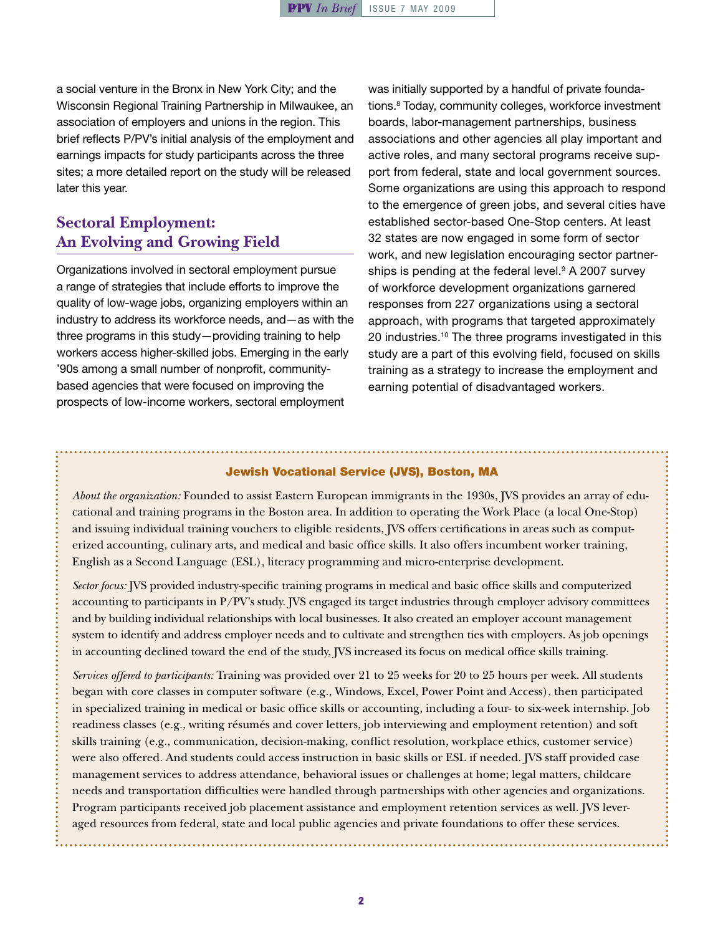a social venture in the Bronx in New York City; and the Wisconsin Regional Training Partnership in Milwaukee, an association of employers and unions in the region. This brief reflects P/PV's initial analysis of the employment and earnings impacts for study participants across the three sites; a more detailed report on the study will be released later this year.

# **Sectoral Employment: An Evolving and Growing Field**

Organizations involved in sectoral employment pursue a range of strategies that include efforts to improve the quality of low-wage jobs, organizing employers within an industry to address its workforce needs, and—as with the three programs in this study—providing training to help workers access higher-skilled jobs. Emerging in the early '90s among a small number of nonprofit, communitybased agencies that were focused on improving the prospects of low-income workers, sectoral employment

was initially supported by a handful of private foundations.8 Today, community colleges, workforce investment boards, labor-management partnerships, business associations and other agencies all play important and active roles, and many sectoral programs receive support from federal, state and local government sources. Some organizations are using this approach to respond to the emergence of green jobs, and several cities have established sector-based One-Stop centers. At least 32 states are now engaged in some form of sector work, and new legislation encouraging sector partnerships is pending at the federal level.<sup>9</sup> A 2007 survey of workforce development organizations garnered responses from 227 organizations using a sectoral approach, with programs that targeted approximately 20 industries.10 The three programs investigated in this study are a part of this evolving field, focused on skills training as a strategy to increase the employment and earning potential of disadvantaged workers.

#### Jewish Vocational Service (JVS), Boston, MA

*About the organization:* Founded to assist Eastern European immigrants in the 1930s, JVS provides an array of educational and training programs in the Boston area. In addition to operating the Work Place (a local One-Stop) and issuing individual training vouchers to eligible residents, JVS offers certifications in areas such as computerized accounting, culinary arts, and medical and basic office skills. It also offers incumbent worker training, English as a Second Language (ESL), literacy programming and micro-enterprise development.

*Sector focus:* JVS provided industry-specific training programs in medical and basic office skills and computerized accounting to participants in P/PV's study. JVS engaged its target industries through employer advisory committees and by building individual relationships with local businesses. It also created an employer account management system to identify and address employer needs and to cultivate and strengthen ties with employers. As job openings in accounting declined toward the end of the study, JVS increased its focus on medical office skills training.

*Services offered to participants:* Training was provided over 21 to 25 weeks for 20 to 25 hours per week. All students began with core classes in computer software (e.g., Windows, Excel, Power Point and Access), then participated in specialized training in medical or basic office skills or accounting, including a four- to six-week internship. Job readiness classes (e.g., writing résumés and cover letters, job interviewing and employment retention) and soft skills training (e.g., communication, decision-making, conflict resolution, workplace ethics, customer service) were also offered. And students could access instruction in basic skills or ESL if needed. JVS staff provided case management services to address attendance, behavioral issues or challenges at home; legal matters, childcare needs and transportation difficulties were handled through partnerships with other agencies and organizations. Program participants received job placement assistance and employment retention services as well. JVS leveraged resources from federal, state and local public agencies and private foundations to offer these services.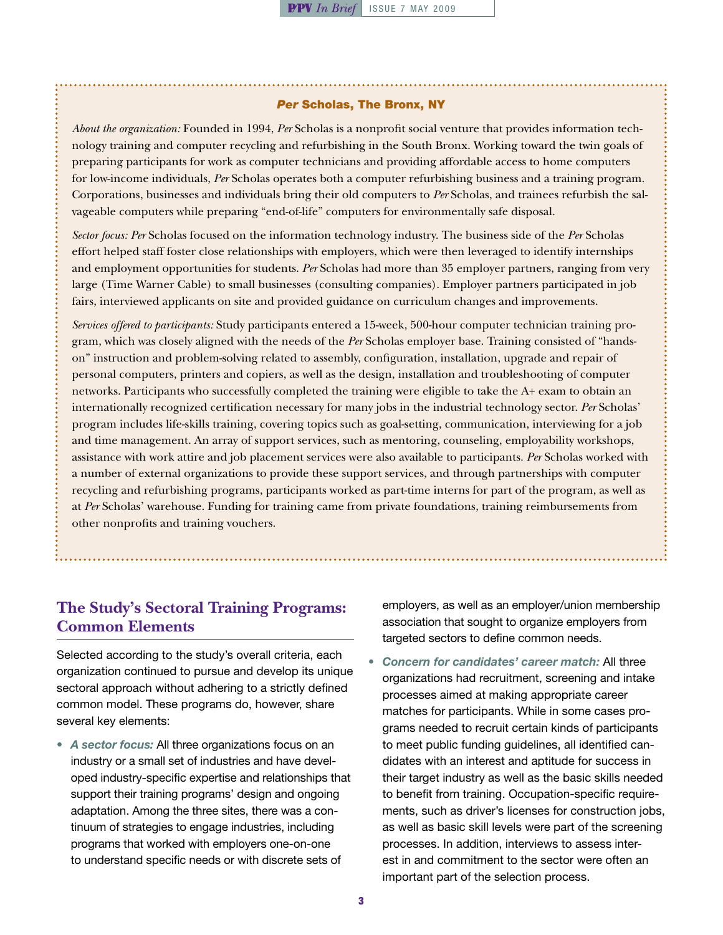#### *Per* Scholas, The Bronx, NY

*About the organization:* Founded in 1994, *Per* Scholas is a nonprofit social venture that provides information technology training and computer recycling and refurbishing in the South Bronx. Working toward the twin goals of preparing participants for work as computer technicians and providing affordable access to home computers for low-income individuals, *Per* Scholas operates both a computer refurbishing business and a training program. Corporations, businesses and individuals bring their old computers to *Per* Scholas, and trainees refurbish the salvageable computers while preparing "end-of-life" computers for environmentally safe disposal.

*Sector focus: Per* Scholas focused on the information technology industry. The business side of the *Per* Scholas effort helped staff foster close relationships with employers, which were then leveraged to identify internships and employment opportunities for students. *Per* Scholas had more than 35 employer partners, ranging from very large (Time Warner Cable) to small businesses (consulting companies). Employer partners participated in job fairs, interviewed applicants on site and provided guidance on curriculum changes and improvements.

*Services offered to participants:* Study participants entered a 15-week, 500-hour computer technician training program, which was closely aligned with the needs of the *Per* Scholas employer base. Training consisted of "handson" instruction and problem-solving related to assembly, configuration, installation, upgrade and repair of personal computers, printers and copiers, as well as the design, installation and troubleshooting of computer networks. Participants who successfully completed the training were eligible to take the A+ exam to obtain an internationally recognized certification necessary for many jobs in the industrial technology sector. *Per* Scholas' program includes life-skills training, covering topics such as goal-setting, communication, interviewing for a job and time management. An array of support services, such as mentoring, counseling, employability workshops, assistance with work attire and job placement services were also available to participants. *Per* Scholas worked with a number of external organizations to provide these support services, and through partnerships with computer recycling and refurbishing programs, participants worked as part-time interns for part of the program, as well as at *Per* Scholas' warehouse. Funding for training came from private foundations, training reimbursements from other nonprofits and training vouchers.

# **The Study's Sectoral Training Programs: Common Elements**

Selected according to the study's overall criteria, each organization continued to pursue and develop its unique sectoral approach without adhering to a strictly defined common model. These programs do, however, share several key elements:

• A sector focus: All three organizations focus on an industry or a small set of industries and have developed industry-specific expertise and relationships that support their training programs' design and ongoing adaptation. Among the three sites, there was a continuum of strategies to engage industries, including programs that worked with employers one-on-one to understand specific needs or with discrete sets of

employers, as well as an employer/union membership association that sought to organize employers from targeted sectors to define common needs.

Concern for candidates' career match: All three organizations had recruitment, screening and intake processes aimed at making appropriate career matches for participants. While in some cases programs needed to recruit certain kinds of participants to meet public funding guidelines, all identified candidates with an interest and aptitude for success in their target industry as well as the basic skills needed to benefit from training. Occupation-specific requirements, such as driver's licenses for construction jobs, as well as basic skill levels were part of the screening processes. In addition, interviews to assess interest in and commitment to the sector were often an important part of the selection process.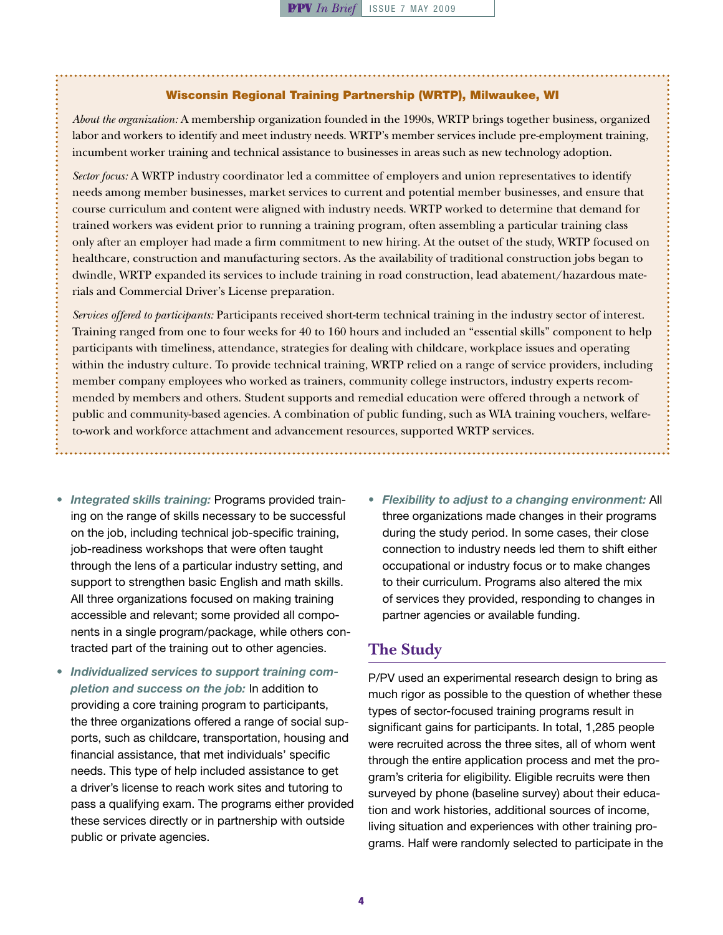#### Wisconsin Regional Training Partnership (WRTP), Milwaukee, WI

*About the organization:* A membership organization founded in the 1990s, WRTP brings together business, organized labor and workers to identify and meet industry needs. WRTP's member services include pre-employment training, incumbent worker training and technical assistance to businesses in areas such as new technology adoption.

*Sector focus:* A WRTP industry coordinator led a committee of employers and union representatives to identify needs among member businesses, market services to current and potential member businesses, and ensure that course curriculum and content were aligned with industry needs. WRTP worked to determine that demand for trained workers was evident prior to running a training program, often assembling a particular training class only after an employer had made a firm commitment to new hiring. At the outset of the study, WRTP focused on healthcare, construction and manufacturing sectors. As the availability of traditional construction jobs began to dwindle, WRTP expanded its services to include training in road construction, lead abatement/hazardous materials and Commercial Driver's License preparation.

*Services offered to participants:* Participants received short-term technical training in the industry sector of interest. Training ranged from one to four weeks for 40 to 160 hours and included an "essential skills" component to help participants with timeliness, attendance, strategies for dealing with childcare, workplace issues and operating within the industry culture. To provide technical training, WRTP relied on a range of service providers, including member company employees who worked as trainers, community college instructors, industry experts recommended by members and others. Student supports and remedial education were offered through a network of public and community-based agencies. A combination of public funding, such as WIA training vouchers, welfareto-work and workforce attachment and advancement resources, supported WRTP services.

- • *Integrated skills training:* Programs provided training on the range of skills necessary to be successful on the job, including technical job-specific training, job-readiness workshops that were often taught through the lens of a particular industry setting, and support to strengthen basic English and math skills. All three organizations focused on making training accessible and relevant; some provided all components in a single program/package, while others contracted part of the training out to other agencies.
- • *Individualized services to support training completion and success on the job:* In addition to providing a core training program to participants, the three organizations offered a range of social supports, such as childcare, transportation, housing and financial assistance, that met individuals' specific needs. This type of help included assistance to get a driver's license to reach work sites and tutoring to pass a qualifying exam. The programs either provided these services directly or in partnership with outside public or private agencies.
- • *Flexibility to adjust to a changing environment:* All three organizations made changes in their programs during the study period. In some cases, their close connection to industry needs led them to shift either occupational or industry focus or to make changes to their curriculum. Programs also altered the mix of services they provided, responding to changes in partner agencies or available funding.

#### **The Study**

P/PV used an experimental research design to bring as much rigor as possible to the question of whether these types of sector-focused training programs result in significant gains for participants. In total, 1,285 people were recruited across the three sites, all of whom went through the entire application process and met the program's criteria for eligibility. Eligible recruits were then surveyed by phone (baseline survey) about their education and work histories, additional sources of income, living situation and experiences with other training programs. Half were randomly selected to participate in the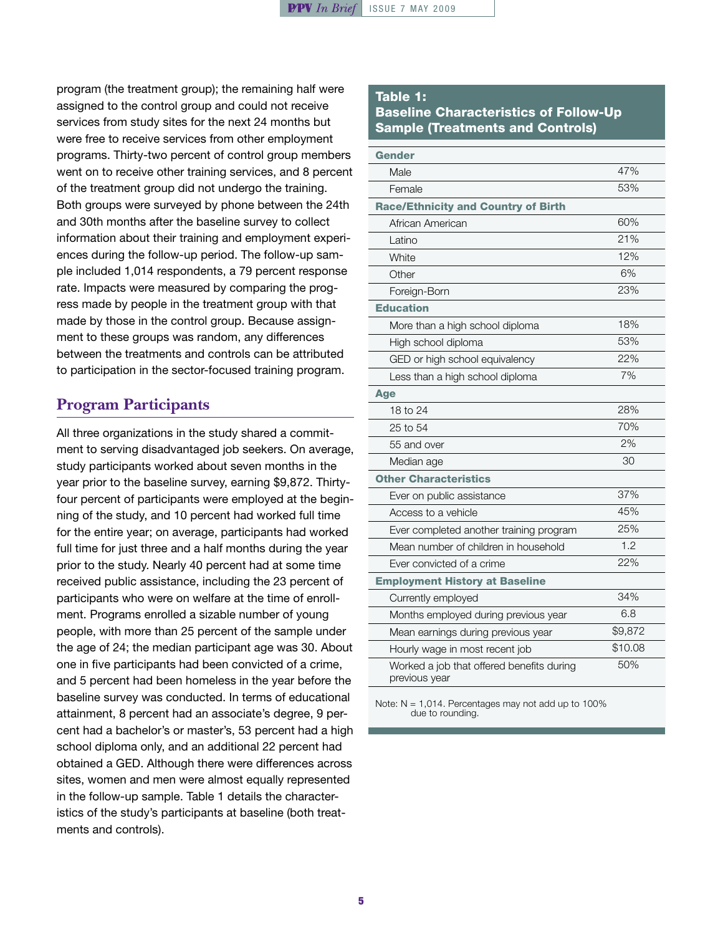program (the treatment group); the remaining half were assigned to the control group and could not receive services from study sites for the next 24 months but were free to receive services from other employment programs. Thirty-two percent of control group members went on to receive other training services, and 8 percent of the treatment group did not undergo the training. Both groups were surveyed by phone between the 24th and 30th months after the baseline survey to collect information about their training and employment experiences during the follow-up period. The follow-up sample included 1,014 respondents, a 79 percent response rate. Impacts were measured by comparing the progress made by people in the treatment group with that made by those in the control group. Because assignment to these groups was random, any differences between the treatments and controls can be attributed to participation in the sector-focused training program.

# **Program Participants**

All three organizations in the study shared a commitment to serving disadvantaged job seekers. On average, study participants worked about seven months in the year prior to the baseline survey, earning \$9,872. Thirtyfour percent of participants were employed at the beginning of the study, and 10 percent had worked full time for the entire year; on average, participants had worked full time for just three and a half months during the year prior to the study. Nearly 40 percent had at some time received public assistance, including the 23 percent of participants who were on welfare at the time of enrollment. Programs enrolled a sizable number of young people, with more than 25 percent of the sample under the age of 24; the median participant age was 30. About one in five participants had been convicted of a crime, and 5 percent had been homeless in the year before the baseline survey was conducted. In terms of educational attainment, 8 percent had an associate's degree, 9 percent had a bachelor's or master's, 53 percent had a high school diploma only, and an additional 22 percent had obtained a GED. Although there were differences across sites, women and men were almost equally represented in the follow-up sample. Table 1 details the characteristics of the study's participants at baseline (both treatments and controls).

## Table 1: Baseline Characteristics of Follow-Up Sample (Treatments and Controls)

| <b>Gender</b>                                              |         |
|------------------------------------------------------------|---------|
| Male                                                       | 47%     |
| Female                                                     | 53%     |
| <b>Race/Ethnicity and Country of Birth</b>                 |         |
| African American                                           | 60%     |
| Latino                                                     | 21%     |
| White                                                      | 12%     |
| Other                                                      | 6%      |
| Foreign-Born                                               | 23%     |
| <b>Education</b>                                           |         |
| More than a high school diploma                            | 18%     |
| High school diploma                                        | 53%     |
| GED or high school equivalency                             | 22%     |
| Less than a high school diploma                            | 7%      |
| <b>Age</b>                                                 |         |
| 18 to 24                                                   | 28%     |
| 25 to 54                                                   | 70%     |
| 55 and over                                                | 2%      |
| Median age                                                 | 30      |
| <b>Other Characteristics</b>                               |         |
| Ever on public assistance                                  | 37%     |
| Access to a vehicle                                        | 45%     |
| Ever completed another training program                    | 25%     |
| Mean number of children in household                       | 1.2     |
| Ever convicted of a crime                                  | 22%     |
| <b>Employment History at Baseline</b>                      |         |
| Currently employed                                         | 34%     |
| Months employed during previous year                       | 6.8     |
| Mean earnings during previous year                         | \$9,872 |
| Hourly wage in most recent job                             | \$10.08 |
| Worked a job that offered benefits during<br>previous year | 50%     |

Note:  $N = 1,014$ . Percentages may not add up to 100% due to rounding.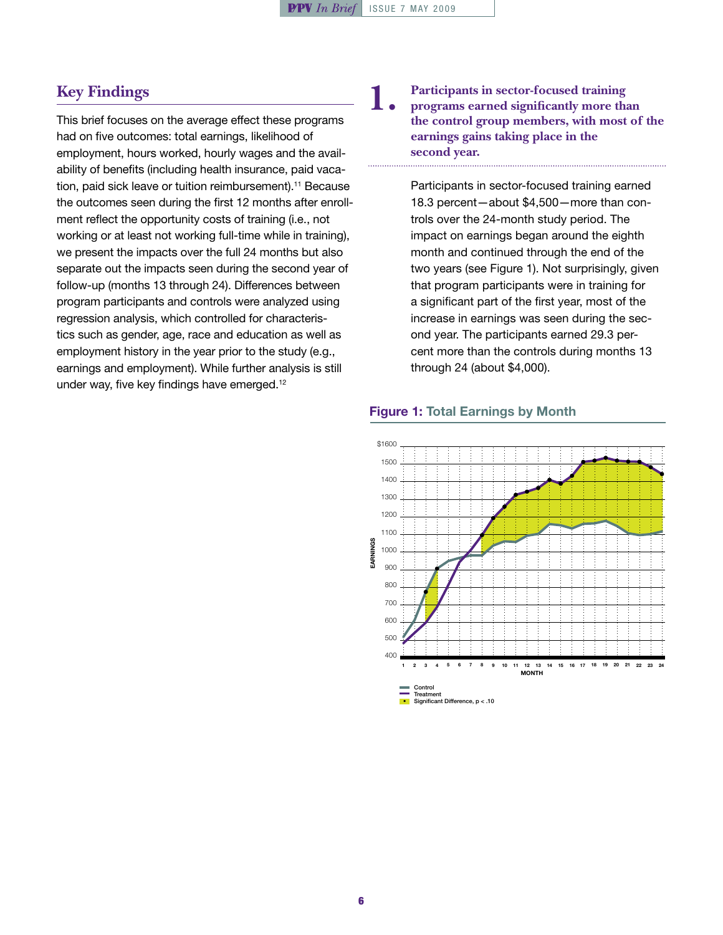## **Key Findings**

This brief focuses on the average effect these programs had on five outcomes: total earnings, likelihood of employment, hours worked, hourly wages and the availability of benefits (including health insurance, paid vacation, paid sick leave or tuition reimbursement).<sup>11</sup> Because the outcomes seen during the first 12 months after enrollment reflect the opportunity costs of training (i.e., not working or at least not working full-time while in training), we present the impacts over the full 24 months but also separate out the impacts seen during the second year of follow-up (months 13 through 24). Differences between program participants and controls were analyzed using regression analysis, which controlled for characteristics such as gender, age, race and education as well as employment history in the year prior to the study (e.g., earnings and employment). While further analysis is still under way, five key findings have emerged.12

#### **1. Participants in sector-focused training programs earned significantly more than the control group members, with most of the earnings gains taking place in the second year.**

Participants in sector-focused training earned 18.3 percent—about \$4,500—more than controls over the 24-month study period. The impact on earnings began around the eighth month and continued through the end of the two years (see Figure 1). Not surprisingly, given that program participants were in training for a significant part of the first year, most of the increase in earnings was seen during the second year. The participants earned 29.3 percent more than the controls during months 13 through 24 (about \$4,000).

#### Figure 1: Total Earnings by Month

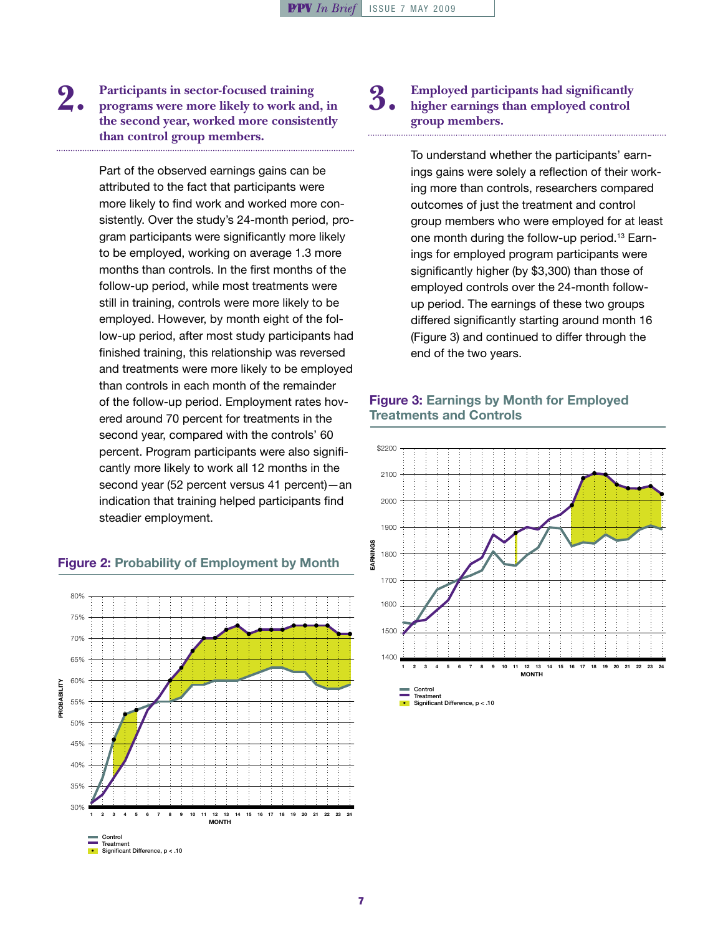#### **2. Participants in sector-focused training programs were more likely to work and, in the second year, worked more consistently than control group members.**

Part of the observed earnings gains can be attributed to the fact that participants were more likely to find work and worked more consistently. Over the study's 24-month period, program participants were significantly more likely to be employed, working on average 1.3 more months than controls. In the first months of the follow-up period, while most treatments were still in training, controls were more likely to be employed. However, by month eight of the follow-up period, after most study participants had finished training, this relationship was reversed and treatments were more likely to be employed than controls in each month of the remainder of the follow-up period. Employment rates hovered around 70 percent for treatments in the second year, compared with the controls' 60 percent. Program participants were also significantly more likely to work all 12 months in the second year (52 percent versus 41 percent)—an indication that training helped participants find steadier employment.

### 80% 75% 70% 65% 60% **YTJIBABOR** PROBABILITY 55% 50% 45% 40% 35% 30% 1 2 3 4 5 6 7 8 9 10 11 12 13 14 15 16 17 18 19 20 21 22 23 24 **MONTH** Control Treatme

#### Figure 2: Probability of Employment by Month

• Significant Difference, p < .10

#### **3. Employed participants had significantly higher earnings than employed control group members.**

To understand whether the participants' earnings gains were solely a reflection of their working more than controls, researchers compared outcomes of just the treatment and control group members who were employed for at least one month during the follow-up period.13 Earnings for employed program participants were significantly higher (by \$3,300) than those of employed controls over the 24-month followup period. The earnings of these two groups differed significantly starting around month 16 (Figure 3) and continued to differ through the end of the two years.

#### Figure 3: Earnings by Month for Employed Treatments and Controls

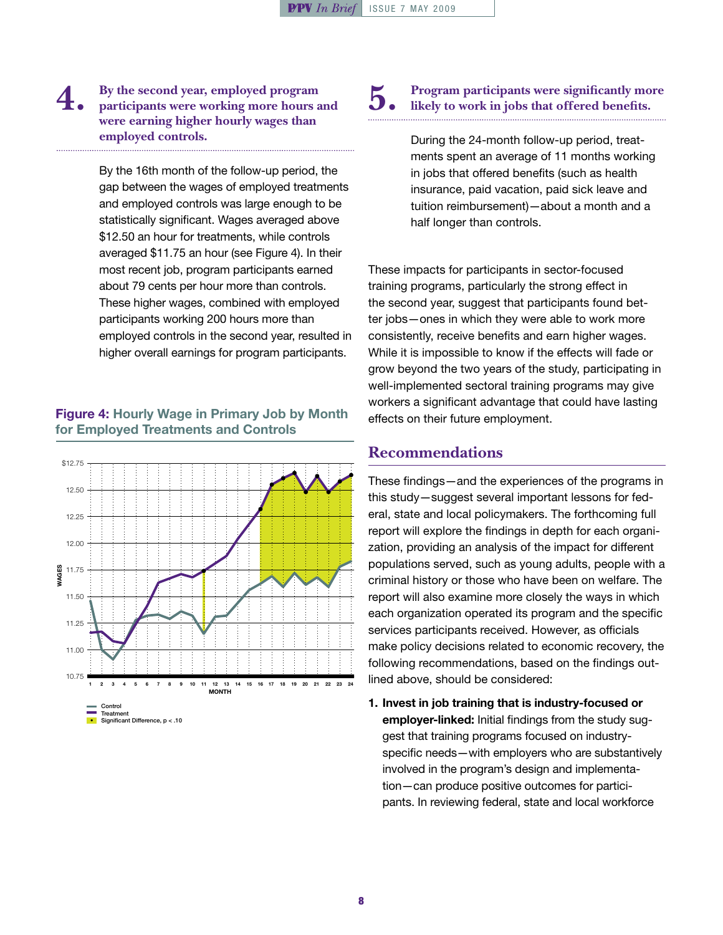### **4. By the second year, employed program participants were working more hours and were earning higher hourly wages than employed controls.**

By the 16th month of the follow-up period, the gap between the wages of employed treatments and employed controls was large enough to be statistically significant. Wages averaged above \$12.50 an hour for treatments, while controls averaged \$11.75 an hour (see Figure 4). In their most recent job, program participants earned about 79 cents per hour more than controls. These higher wages, combined with employed participants working 200 hours more than employed controls in the second year, resulted in higher overall earnings for program participants.

#### Figure 4: Hourly Wage in Primary Job by Month for Employed Treatments and Controls



#### **5. Program participants were significantly more likely to work in jobs that offered benefits.**

During the 24-month follow-up period, treatments spent an average of 11 months working in jobs that offered benefits (such as health insurance, paid vacation, paid sick leave and tuition reimbursement)—about a month and a half longer than controls.

These impacts for participants in sector-focused training programs, particularly the strong effect in the second year, suggest that participants found better jobs—ones in which they were able to work more consistently, receive benefits and earn higher wages. While it is impossible to know if the effects will fade or grow beyond the two years of the study, participating in well-implemented sectoral training programs may give workers a significant advantage that could have lasting effects on their future employment.

# **Recommendations**

These findings—and the experiences of the programs in this study—suggest several important lessons for federal, state and local policymakers. The forthcoming full report will explore the findings in depth for each organization, providing an analysis of the impact for different populations served, such as young adults, people with a criminal history or those who have been on welfare. The report will also examine more closely the ways in which each organization operated its program and the specific services participants received. However, as officials make policy decisions related to economic recovery, the following recommendations, based on the findings outlined above, should be considered:

1. Invest in job training that is industry-focused or employer-linked: Initial findings from the study suggest that training programs focused on industryspecific needs—with employers who are substantively involved in the program's design and implementation—can produce positive outcomes for participants. In reviewing federal, state and local workforce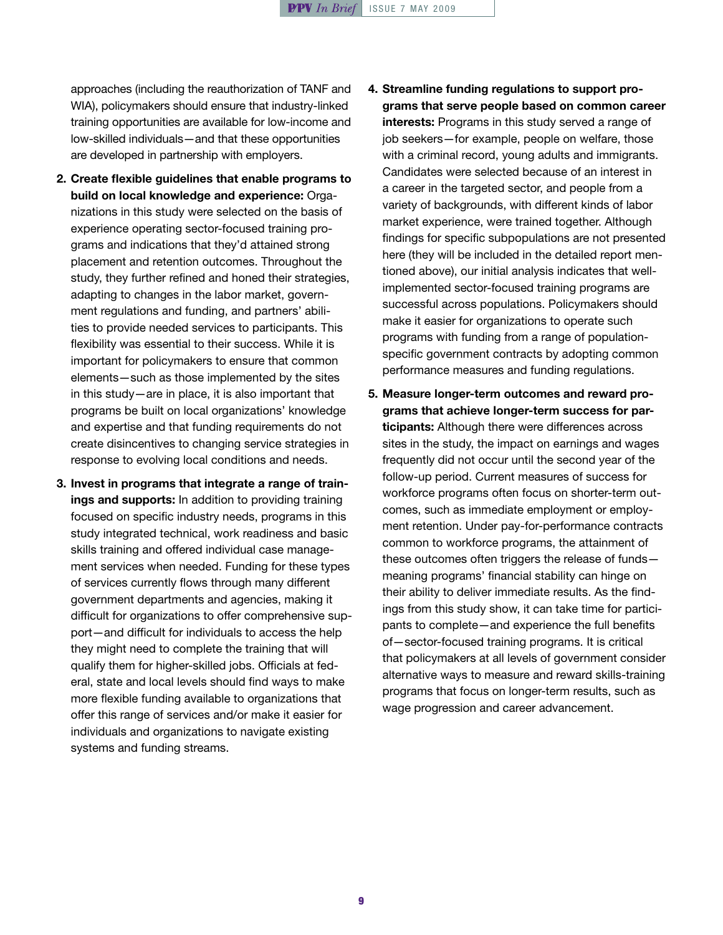approaches (including the reauthorization of TANF and WIA), policymakers should ensure that industry-linked training opportunities are available for low-income and low-skilled individuals—and that these opportunities are developed in partnership with employers.

- 2. Create flexible guidelines that enable programs to build on local knowledge and experience: Organizations in this study were selected on the basis of experience operating sector-focused training programs and indications that they'd attained strong placement and retention outcomes. Throughout the study, they further refined and honed their strategies, adapting to changes in the labor market, government regulations and funding, and partners' abilities to provide needed services to participants. This flexibility was essential to their success. While it is important for policymakers to ensure that common elements—such as those implemented by the sites in this study—are in place, it is also important that programs be built on local organizations' knowledge and expertise and that funding requirements do not create disincentives to changing service strategies in response to evolving local conditions and needs.
- 3. Invest in programs that integrate a range of trainings and supports: In addition to providing training focused on specific industry needs, programs in this study integrated technical, work readiness and basic skills training and offered individual case management services when needed. Funding for these types of services currently flows through many different government departments and agencies, making it difficult for organizations to offer comprehensive support—and difficult for individuals to access the help they might need to complete the training that will qualify them for higher-skilled jobs. Officials at federal, state and local levels should find ways to make more flexible funding available to organizations that offer this range of services and/or make it easier for individuals and organizations to navigate existing systems and funding streams.

## 4. Streamline funding regulations to support programs that serve people based on common career interests: Programs in this study served a range of job seekers—for example, people on welfare, those with a criminal record, young adults and immigrants. Candidates were selected because of an interest in a career in the targeted sector, and people from a variety of backgrounds, with different kinds of labor market experience, were trained together. Although findings for specific subpopulations are not presented here (they will be included in the detailed report mentioned above), our initial analysis indicates that wellimplemented sector-focused training programs are successful across populations. Policymakers should make it easier for organizations to operate such programs with funding from a range of populationspecific government contracts by adopting common performance measures and funding regulations.

5. Measure longer-term outcomes and reward programs that achieve longer-term success for participants: Although there were differences across sites in the study, the impact on earnings and wages frequently did not occur until the second year of the follow-up period. Current measures of success for workforce programs often focus on shorter-term outcomes, such as immediate employment or employment retention. Under pay-for-performance contracts common to workforce programs, the attainment of these outcomes often triggers the release of funds meaning programs' financial stability can hinge on their ability to deliver immediate results. As the findings from this study show, it can take time for participants to complete—and experience the full benefits of—sector-focused training programs. It is critical that policymakers at all levels of government consider alternative ways to measure and reward skills-training programs that focus on longer-term results, such as wage progression and career advancement.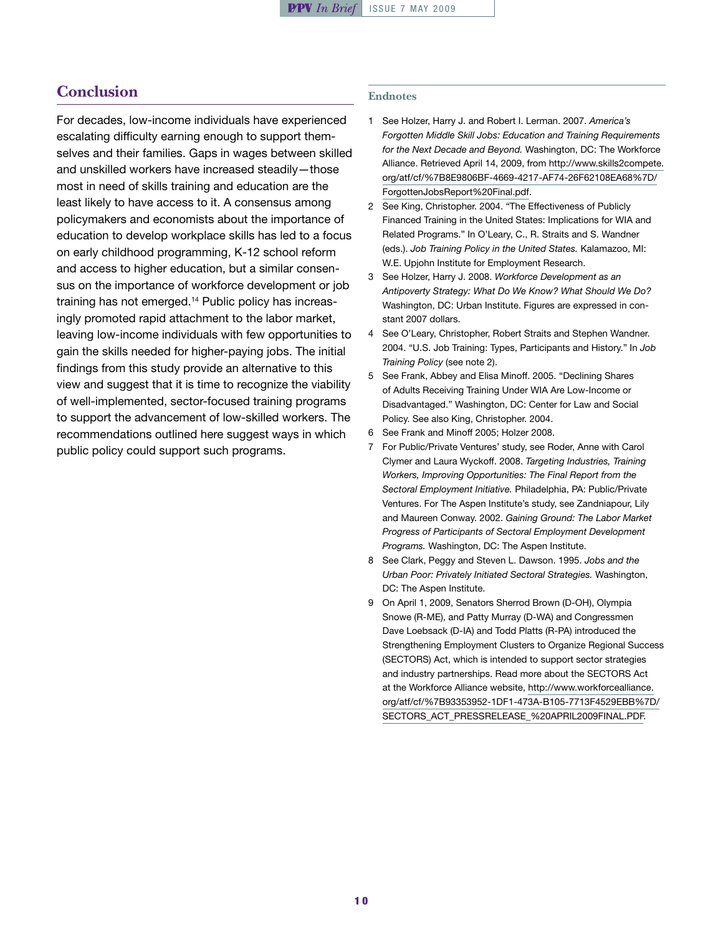## **Conclusion**

For decades, low-income individuals have experienced escalating difficulty earning enough to support themselves and their families. Gaps in wages between skilled and unskilled workers have increased steadily—those most in need of skills training and education are the least likely to have access to it. A consensus among policymakers and economists about the importance of education to develop workplace skills has led to a focus on early childhood programming, K-12 school reform and access to higher education, but a similar consensus on the importance of workforce development or job training has not emerged.14 Public policy has increasingly promoted rapid attachment to the labor market, leaving low-income individuals with few opportunities to gain the skills needed for higher-paying jobs. The initial findings from this study provide an alternative to this view and suggest that it is time to recognize the viability of well-implemented, sector-focused training programs to support the advancement of low-skilled workers. The recommendations outlined here suggest ways in which public policy could support such programs.

#### **Endnotes**

- 1 See Holzer, Harry J. and Robert I. Lerman. 2007. *America's Forgotten Middle Skill Jobs: Education and Training Requirements for the Next Decade and Beyond.* Washington, DC: The Workforce Alliance. Retrieved April 14, 2009, from [http://www.skills2compete.](http://www.skills2compete.org/atf/cf/%7B8E9806BF-4669-4217-AF74-26F62108EA68%7D/ForgottenJobsReport%20Final.pdf) [org/atf/cf/%7B8E9806BF-4669-4217-AF74-26F62108EA68%7D/](http://www.skills2compete.org/atf/cf/%7B8E9806BF-4669-4217-AF74-26F62108EA68%7D/ForgottenJobsReport%20Final.pdf) [ForgottenJobsReport%20Final.pdf](http://www.skills2compete.org/atf/cf/%7B8E9806BF-4669-4217-AF74-26F62108EA68%7D/ForgottenJobsReport%20Final.pdf).
- 2 See King, Christopher. 2004. "The Effectiveness of Publicly Financed Training in the United States: Implications for WIA and Related Programs." In O'Leary, C., R. Straits and S. Wandner (eds.). *Job Training Policy in the United States.* Kalamazoo, MI: W.E. Upjohn Institute for Employment Research.
- 3 See Holzer, Harry J. 2008. *Workforce Development as an Antipoverty Strategy: What Do We Know? What Should We Do?* Washington, DC: Urban Institute. Figures are expressed in constant 2007 dollars.
- 4 See O'Leary, Christopher, Robert Straits and Stephen Wandner. 2004. "U.S. Job Training: Types, Participants and History." In *Job Training Policy* (see note 2).
- 5 See Frank, Abbey and Elisa Minoff. 2005. "Declining Shares of Adults Receiving Training Under WIA Are Low-Income or Disadvantaged." Washington, DC: Center for Law and Social Policy. See also King, Christopher. 2004.
- 6 See Frank and Minoff 2005; Holzer 2008.
- 7 For Public/Private Ventures' study, see Roder, Anne with Carol Clymer and Laura Wyckoff. 2008. *Targeting Industries, Training Workers, Improving Opportunities: The Final Report from the Sectoral Employment Initiative.* Philadelphia, PA: Public/Private Ventures. For The Aspen Institute's study, see Zandniapour, Lily and Maureen Conway. 2002. *Gaining Ground: The Labor Market Progress of Participants of Sectoral Employment Development Programs.* Washington, DC: The Aspen Institute.
- 8 See Clark, Peggy and Steven L. Dawson. 1995. *Jobs and the Urban Poor: Privately Initiated Sectoral Strategies.* Washington, DC: The Aspen Institute.
- 9 On April 1, 2009, Senators Sherrod Brown (D-OH), Olympia Snowe (R-ME), and Patty Murray (D-WA) and Congressmen Dave Loebsack (D-IA) and Todd Platts (R-PA) introduced the Strengthening Employment Clusters to Organize Regional Success (SECTORS) Act, which is intended to support sector strategies and industry partnerships. Read more about the SECTORS Act at the Workforce Alliance website, [http://www.workforcealliance.](http://www.workforcealliance.org/atf/cf/%7B93353952-1DF1-473A-B105-7713F4529EBB%7D/SECTORS_ACT_PRESSRELEASE_%20APRIL2009FINAL.PDF) [org/atf/cf/%7B93353952-1DF1-473A-B105-7713F4529EBB%7D/](http://www.workforcealliance.org/atf/cf/%7B93353952-1DF1-473A-B105-7713F4529EBB%7D/SECTORS_ACT_PRESSRELEASE_%20APRIL2009FINAL.PDF) [SECTORS\\_ACT\\_PRESSRELEASE\\_%20APRIL2009FINAL.PDF](http://www.workforcealliance.org/atf/cf/%7B93353952-1DF1-473A-B105-7713F4529EBB%7D/SECTORS_ACT_PRESSRELEASE_%20APRIL2009FINAL.PDF).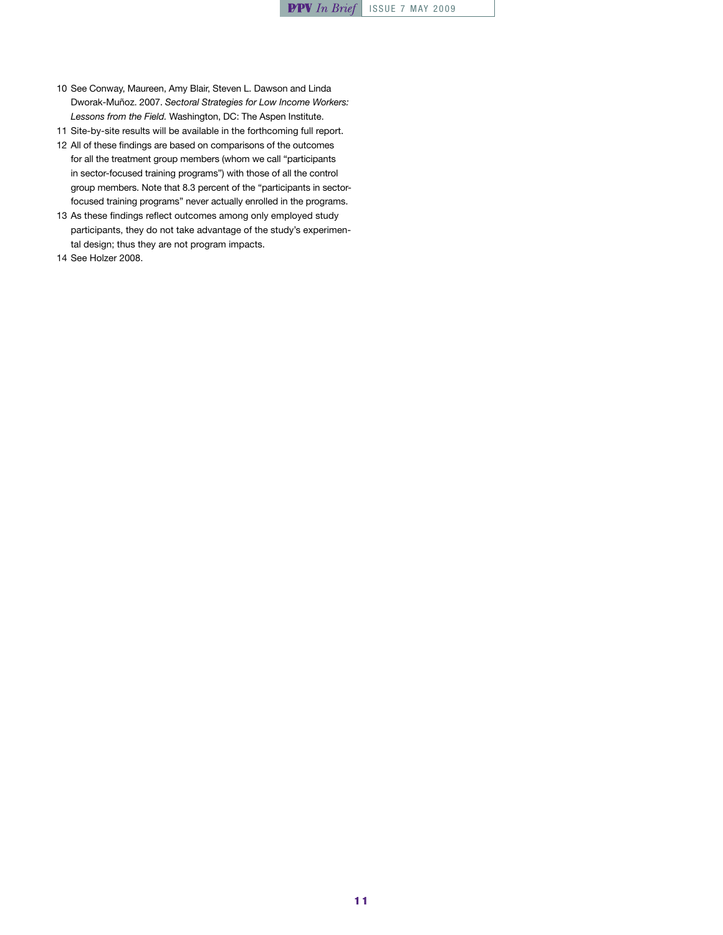- 10 See Conway, Maureen, Amy Blair, Steven L. Dawson and Linda Dworak-Muñoz. 2007. *Sectoral Strategies for Low Income Workers: Lessons from the Field.* Washington, DC: The Aspen Institute.
- 11 Site-by-site results will be available in the forthcoming full report.
- 12 All of these findings are based on comparisons of the outcomes for all the treatment group members (whom we call "participants in sector-focused training programs") with those of all the control group members. Note that 8.3 percent of the "participants in sectorfocused training programs" never actually enrolled in the programs.
- 13 As these findings reflect outcomes among only employed study participants, they do not take advantage of the study's experimental design; thus they are not program impacts.
- 14 See Holzer 2008.